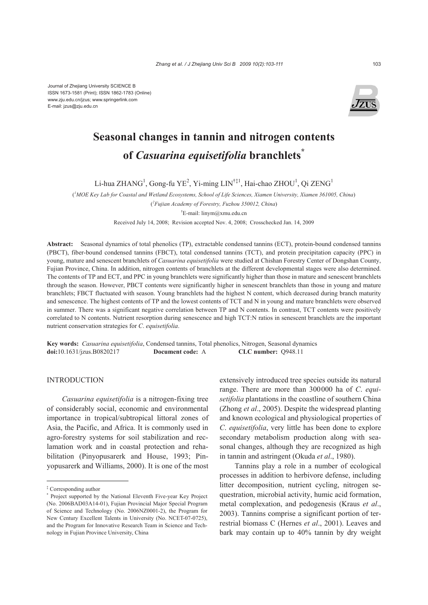Journal of Zhejiang University SCIENCE B ISSN 1673-1581 (Print); ISSN 1862-1783 (Online) www.zju.edu.cn/jzus; www.springerlink.com E-mail: jzus@zju.edu.cn



# **Seasonal changes in tannin and nitrogen contents of** *Casuarina equisetifolia* **branchlets\***

Li-hua ZHANG<sup>1</sup>, Gong-fu YE<sup>2</sup>, Yi-ming LIN<sup>†‡1</sup>, Hai-chao ZHOU<sup>1</sup>, Qi ZENG<sup>1</sup>

( *1 MOE Key Lab for Coastal and Wetland Ecosystems, School of Life Sciences, Xiamen University, Xiamen 361005, China*)

( *2 Fujian Academy of Forestry, Fuzhou 350012, China*)

† E-mail: linym@xmu.edu.cn

Received July 14, 2008; Revision accepted Nov. 4, 2008; Crosschecked Jan. 14, 2009

**Abstract:** Seasonal dynamics of total phenolics (TP), extractable condensed tannins (ECT), protein-bound condensed tannins (PBCT), fiber-bound condensed tannins (FBCT), total condensed tannins (TCT), and protein precipitation capacity (PPC) in young, mature and senescent branchlets of *Casuarina equisetifolia* were studied at Chishan Forestry Center of Dongshan County, Fujian Province, China. In addition, nitrogen contents of branchlets at the different developmental stages were also determined. The contents of TP and ECT, and PPC in young branchlets were significantly higher than those in mature and senescent branchlets through the season. However, PBCT contents were significantly higher in senescent branchlets than those in young and mature branchlets; FBCT fluctuated with season. Young branchlets had the highest N content, which decreased during branch maturity and senescence. The highest contents of TP and the lowest contents of TCT and N in young and mature branchlets were observed in summer. There was a significant negative correlation between TP and N contents. In contrast, TCT contents were positively correlated to N contents. Nutrient resorption during senescence and high TCT:N ratios in senescent branchlets are the important nutrient conservation strategies for *C*. *equisetifolia*.

**Key words:** *Casuarina equisetifolia*, Condensed tannins, Total phenolics, Nitrogen, Seasonal dynamics **doi:**10.1631/jzus.B0820217 **Document code:** A **CLC number:** Q948.11

## **INTRODUCTION**

*Casuarina equisetifolia* is a nitrogen-fixing tree of considerably social, economic and environmental importance in tropical/subtropical littoral zones of Asia, the Pacific, and Africa. It is commonly used in agro-forestry systems for soil stabilization and reclamation work and in coastal protection and rehabilitation (Pinyopusarerk and House, 1993; Pinyopusarerk and Williams, 2000). It is one of the most extensively introduced tree species outside its natural range. There are more than 300000 ha of *C*. *equisetifolia* plantations in the coastline of southern China (Zhong *et al*., 2005). Despite the widespread planting and known ecological and physiological properties of *C*. *equisetifolia*, very little has been done to explore secondary metabolism production along with seasonal changes, although they are recognized as high in tannin and astringent (Okuda *et al*., 1980).

Tannins play a role in a number of ecological processes in addition to herbivore defense, including litter decomposition, nutrient cycling, nitrogen sequestration, microbial activity, humic acid formation, metal complexation, and pedogenesis (Kraus *et al*., 2003). Tannins comprise a significant portion of terrestrial biomass C (Hernes *et al*., 2001). Leaves and bark may contain up to 40% tannin by dry weight

<sup>‡</sup> Corresponding author

<sup>\*</sup> Project supported by the National Eleventh Five-year Key Project (No. 2006BAD03A14-01), Fujian Provincial Major Special Program of Science and Technology (No. 2006NZ0001-2), the Program for New Century Excellent Talents in University (No. NCET-07-0725), and the Program for Innovative Research Team in Science and Technology in Fujian Province University, China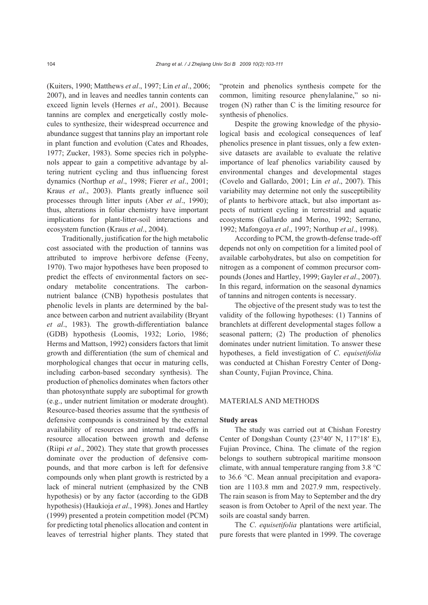(Kuiters, 1990; Matthews *et al*., 1997; Lin *et al*., 2006; 2007), and in leaves and needles tannin contents can exceed lignin levels (Hernes *et al*., 2001). Because tannins are complex and energetically costly molecules to synthesize, their widespread occurrence and abundance suggest that tannins play an important role in plant function and evolution (Cates and Rhoades, 1977; Zucker, 1983). Some species rich in polyphenols appear to gain a competitive advantage by altering nutrient cycling and thus influencing forest dynamics (Northup *et al*., 1998; Fierer *et al*., 2001; Kraus *et al*., 2003). Plants greatly influence soil processes through litter inputs (Aber *et al*., 1990); thus, alterations in foliar chemistry have important implications for plant-litter-soil interactions and ecosystem function (Kraus *et al*., 2004).

Traditionally, justification for the high metabolic cost associated with the production of tannins was attributed to improve herbivore defense (Feeny, 1970). Two major hypotheses have been proposed to predict the effects of environmental factors on secondary metabolite concentrations. The carbonnutrient balance (CNB) hypothesis postulates that phenolic levels in plants are determined by the balance between carbon and nutrient availability (Bryant *et al*., 1983). The growth-differentiation balance (GDB) hypothesis (Loomis, 1932; Lorio, 1986; Herms and Mattson, 1992) considers factors that limit growth and differentiation (the sum of chemical and morphological changes that occur in maturing cells, including carbon-based secondary synthesis). The production of phenolics dominates when factors other than photosynthate supply are suboptimal for growth (e.g., under nutrient limitation or moderate drought). Resource-based theories assume that the synthesis of defensive compounds is constrained by the external availability of resources and internal trade-offs in resource allocation between growth and defense (Riipi *et al*., 2002). They state that growth processes dominate over the production of defensive compounds, and that more carbon is left for defensive compounds only when plant growth is restricted by a lack of mineral nutrient (emphasized by the CNB hypothesis) or by any factor (according to the GDB hypothesis) (Haukioja *et al*., 1998). Jones and Hartley (1999) presented a protein competition model (PCM) for predicting total phenolics allocation and content in leaves of terrestrial higher plants. They stated that "protein and phenolics synthesis compete for the common, limiting resource phenylalanine," so nitrogen (N) rather than C is the limiting resource for synthesis of phenolics.

Despite the growing knowledge of the physiological basis and ecological consequences of leaf phenolics presence in plant tissues, only a few extensive datasets are available to evaluate the relative importance of leaf phenolics variability caused by environmental changes and developmental stages (Covelo and Gallardo, 2001; Lin *et al*., 2007). This variability may determine not only the susceptibility of plants to herbivore attack, but also important aspects of nutrient cycling in terrestrial and aquatic ecosystems (Gallardo and Merino, 1992; Serrano, 1992; Mafongoya *et al*., 1997; Northup *et al*., 1998).

According to PCM, the growth-defense trade-off depends not only on competition for a limited pool of available carbohydrates, but also on competition for nitrogen as a component of common precursor compounds (Jones and Hartley, 1999; Gayler *et al*., 2007). In this regard, information on the seasonal dynamics of tannins and nitrogen contents is necessary.

The objective of the present study was to test the validity of the following hypotheses: (1) Tannins of branchlets at different developmental stages follow a seasonal pattern; (2) The production of phenolics dominates under nutrient limitation. To answer these hypotheses, a field investigation of *C*. *equisetifolia* was conducted at Chishan Forestry Center of Dongshan County, Fujian Province, China.

#### MATERIALS AND METHODS

## **Study areas**

The study was carried out at Chishan Forestry Center of Dongshan County (23°40′ N, 117°18′ E), Fujian Province, China. The climate of the region belongs to southern subtropical maritime monsoon climate, with annual temperature ranging from 3.8 °C to 36.6 °C. Mean annual precipitation and evaporation are 1103.8 mm and 2027.9 mm, respectively. The rain season is from May to September and the dry season is from October to April of the next year. The soils are coastal sandy barren.

The *C*. *equisetifolia* plantations were artificial, pure forests that were planted in 1999. The coverage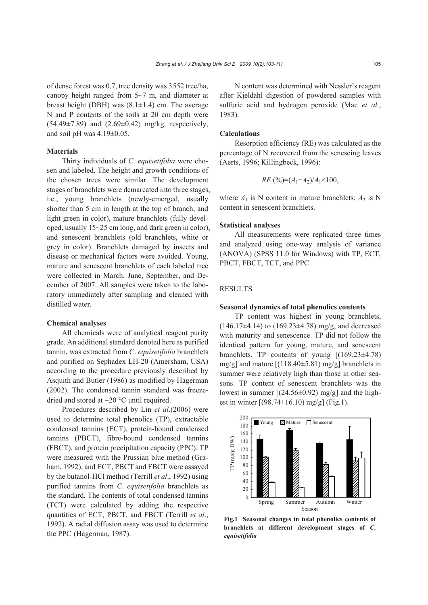of dense forest was 0.7, tree density was 3552 tree/ha, canopy height ranged from 5~7 m, and diameter at breast height (DBH) was  $(8.1 \pm 1.4)$  cm. The average N and P contents of the soils at 20 cm depth were  $(54.49 \pm 7.89)$  and  $(2.69 \pm 0.42)$  mg/kg, respectively, and soil pH was  $4.19\pm0.05$ .

#### **Materials**

Thirty individuals of *C*. *equisetifolia* were chosen and labeled. The height and growth conditions of the chosen trees were similar. The development stages of branchlets were demarcated into three stages, i.e., young branchlets (newly-emerged, usually shorter than 5 cm in length at the top of branch, and light green in color), mature branchlets (fully developed, usually 15~25 cm long, and dark green in color), and senescent branchlets (old branchlets, white or grey in color). Branchlets damaged by insects and disease or mechanical factors were avoided. Young, mature and senescent branchlets of each labeled tree were collected in March, June, September, and December of 2007. All samples were taken to the laboratory immediately after sampling and cleaned with distilled water.

#### **Chemical analyses**

All chemicals were of analytical reagent purity grade. An additional standard denoted here as purified tannin, was extracted from *C*. *equisetifolia* branchlets and purified on Sephadex LH-20 (Amersham, USA) according to the procedure previously described by Asquith and Butler (1986) as modified by Hagerman (2002). The condensed tannin standard was freezedried and stored at −20 °C until required.

Procedures described by Lin *et al*.(2006) were used to determine total phenolics (TP), extractable condensed tannins (ECT), protein-bound condensed tannins (PBCT), fibre-bound condensed tannins (FBCT), and protein precipitation capacity (PPC). TP were measured with the Prussian blue method (Graham, 1992), and ECT, PBCT and FBCT were assayed by the butanol-HCl method (Terrill *et al*., 1992) using purified tannins from *C*. *equisetifolia* branchlets as the standard. The contents of total condensed tannins (TCT) were calculated by adding the respective quantities of ECT, PBCT, and FBCT (Terrill *et al*., 1992). A radial diffusion assay was used to determine the PPC (Hagerman, 1987).

N content was determined with Nessler's reagent after Kjeldahl digestion of powdered samples with sulfuric acid and hydrogen peroxide (Mae *et al*., 1983).

## **Calculations**

Resorption efficiency (RE) was calculated as the percentage of N recovered from the senescing leaves (Aerts, 1996; Killingbeck, 1996):

$$
RE\ ( \%) = (A_1 - A_2)/A_1 \times 100,
$$

where  $A_1$  is N content in mature branchlets;  $A_2$  is N content in senescent branchlets.

#### **Statistical analyses**

All measurements were replicated three times and analyzed using one-way analysis of variance (ANOVA) (SPSS 11.0 for Windows) with TP, ECT, PBCT, FBCT, TCT, and PPC.

## **RESULTS**

#### **Seasonal dynamics of total phenolics contents**

TP content was highest in young branchlets,  $(146.17\pm4.14)$  to  $(169.23\pm4.78)$  mg/g, and decreased with maturity and senescence. TP did not follow the identical pattern for young, mature, and senescent branchlets. TP contents of young  $[(169.23 \pm 4.78)]$ mg/g] and mature [(118.40±5.81) mg/g] branchlets in summer were relatively high than those in other seasons. TP content of senescent branchlets was the lowest in summer  $[(24.56 \pm 0.92)$  mg/g] and the highest in winter  $[(98.74 \pm 16.10) \text{ mg/g}]$  (Fig.1).



**Fig.1 Seasonal changes in total phenolics contents of branchlets at different development stages of** *C***.** *equisetifolia*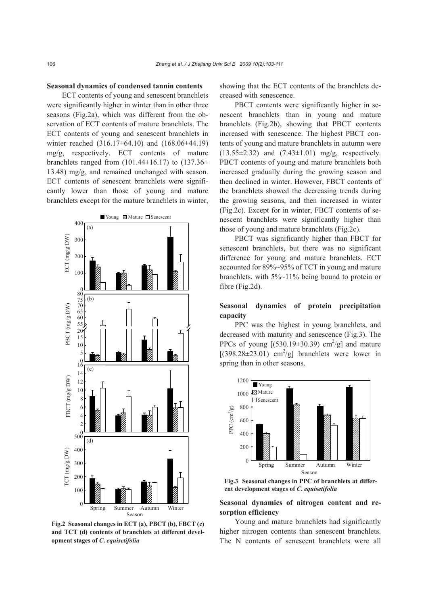#### **Seasonal dynamics of condensed tannin contents**

ECT contents of young and senescent branchlets were significantly higher in winter than in other three seasons (Fig.2a), which was different from the observation of ECT contents of mature branchlets. The ECT contents of young and senescent branchlets in winter reached (316.17±64.10) and (168.06±44.19) mg/g, respectively. ECT contents of mature branchlets ranged from  $(101.44\pm 16.17)$  to  $(137.36\pm$ 13.48) mg/g, and remained unchanged with season. ECT contents of senescent branchlets were significantly lower than those of young and mature branchlets except for the mature branchlets in winter,



**Fig.2 Seasonal changes in ECT (a), PBCT (b), FBCT (c) and TCT (d) contents of branchlets at different development stages of** *C***.** *equisetifolia*

showing that the ECT contents of the branchlets decreased with senescence.

PBCT contents were significantly higher in senescent branchlets than in young and mature branchlets (Fig.2b), showing that PBCT contents increased with senescence. The highest PBCT contents of young and mature branchlets in autumn were  $(13.55\pm 2.32)$  and  $(7.43\pm 1.01)$  mg/g, respectively. PBCT contents of young and mature branchlets both increased gradually during the growing season and then declined in winter. However, FBCT contents of the branchlets showed the decreasing trends during the growing seasons, and then increased in winter (Fig.2c). Except for in winter, FBCT contents of senescent branchlets were significantly higher than those of young and mature branchlets (Fig.2c).

PBCT was significantly higher than FBCT for senescent branchlets, but there was no significant difference for young and mature branchlets. ECT accounted for 89%~95% of TCT in young and mature branchlets, with 5%~11% being bound to protein or fibre (Fig.2d).

# **Seasonal dynamics of protein precipitation capacity**

PPC was the highest in young branchlets, and decreased with maturity and senescence (Fig.3). The PPCs of young  $[(530.19 \pm 30.39) \text{ cm}^2/\text{g}]$  and mature  $[(398.28 \pm 23.01)$  cm<sup>2</sup>/g] branchlets were lower in spring than in other seasons.



**Fig.3 Seasonal changes in PPC of branchlets at different development stages of** *C***.** *equisetifolia*

## **Seasonal dynamics of nitrogen content and resorption efficiency**

Young and mature branchlets had significantly higher nitrogen contents than senescent branchlets. The N contents of senescent branchlets were all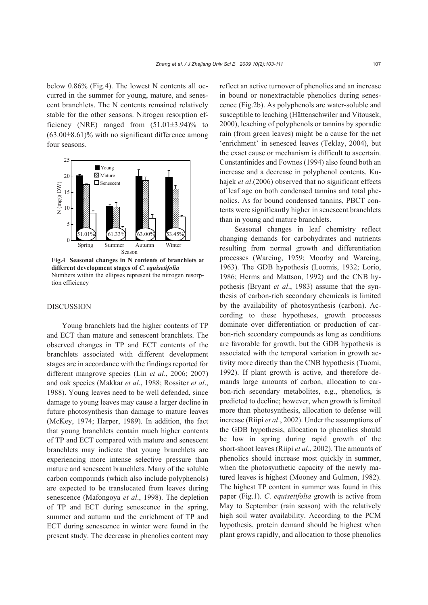below 0.86% (Fig.4). The lowest N contents all occurred in the summer for young, mature, and senescent branchlets. The N contents remained relatively stable for the other seasons. Nitrogen resorption efficiency (NRE) ranged from  $(51.01\pm3.94)\%$  to  $(63.00\pm8.61)\%$  with no significant difference among four seasons.



**Fig.4 Seasonal changes in N contents of branchlets at different development stages of** *C***.** *equisetifolia* Numbers within the ellipses represent the nitrogen resorption efficiency

## DISCUSSION

Young branchlets had the higher contents of TP and ECT than mature and senescent branchlets. The observed changes in TP and ECT contents of the branchlets associated with different development stages are in accordance with the findings reported for different mangrove species (Lin *et al*., 2006; 2007) and oak species (Makkar *et al*., 1988; Rossiter *et al*., 1988). Young leaves need to be well defended, since damage to young leaves may cause a larger decline in future photosynthesis than damage to mature leaves (McKey, 1974; Harper, 1989). In addition, the fact that young branchlets contain much higher contents of TP and ECT compared with mature and senescent branchlets may indicate that young branchlets are experiencing more intense selective pressure than mature and senescent branchlets. Many of the soluble carbon compounds (which also include polyphenols) are expected to be translocated from leaves during senescence (Mafongoya *et al*., 1998). The depletion of TP and ECT during senescence in the spring, summer and autumn and the enrichment of TP and ECT during senescence in winter were found in the present study. The decrease in phenolics content may

reflect an active turnover of phenolics and an increase in bound or nonextractable phenolics during senescence (Fig.2b). As polyphenols are water-soluble and susceptible to leaching (Hättenschwiler and Vitousek, 2000), leaching of polyphenols or tannins by sporadic rain (from green leaves) might be a cause for the net 'enrichment' in senesced leaves (Teklay, 2004), but the exact cause or mechanism is difficult to ascertain. Constantinides and Fownes (1994) also found both an increase and a decrease in polyphenol contents. Kuhajek *et al*.(2006) observed that no significant effects of leaf age on both condensed tannins and total phenolics. As for bound condensed tannins, PBCT contents were significantly higher in senescent branchlets than in young and mature branchlets.

Seasonal changes in leaf chemistry reflect changing demands for carbohydrates and nutrients resulting from normal growth and differentiation processes (Wareing, 1959; Moorby and Wareing, 1963). The GDB hypothesis (Loomis, 1932; Lorio, 1986; Herms and Mattson, 1992) and the CNB hypothesis (Bryant *et al*., 1983) assume that the synthesis of carbon-rich secondary chemicals is limited by the availability of photosynthesis (carbon). According to these hypotheses, growth processes dominate over differentiation or production of carbon-rich secondary compounds as long as conditions are favorable for growth, but the GDB hypothesis is associated with the temporal variation in growth activity more directly than the CNB hypothesis (Tuomi, 1992). If plant growth is active, and therefore demands large amounts of carbon, allocation to carbon-rich secondary metabolites, e.g., phenolics, is predicted to decline; however, when growth is limited more than photosynthesis, allocation to defense will increase (Riipi *et al*., 2002). Under the assumptions of the GDB hypothesis, allocation to phenolics should be low in spring during rapid growth of the short-shoot leaves (Riipi *et al*., 2002). The amounts of phenolics should increase most quickly in summer, when the photosynthetic capacity of the newly matured leaves is highest (Mooney and Gulmon, 1982). The highest TP content in summer was found in this paper (Fig.1). *C*. *equisetifolia* growth is active from May to September (rain season) with the relatively high soil water availability. According to the PCM hypothesis, protein demand should be highest when plant grows rapidly, and allocation to those phenolics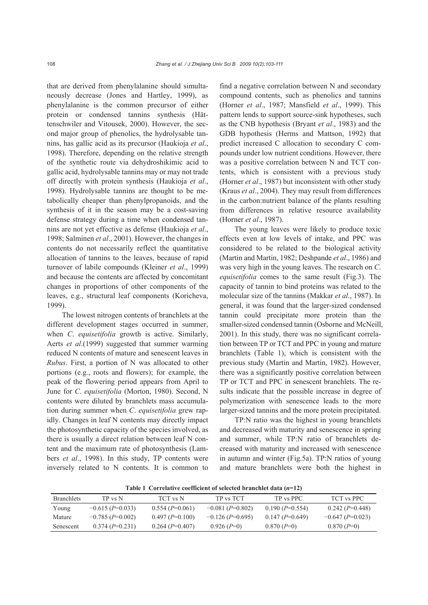that are derived from phenylalanine should simultaneously decrease (Jones and Hartley, 1999), as phenylalanine is the common precursor of either protein or condensed tannins synthesis (Hättenschwiler and Vitousek, 2000). However, the second major group of phenolics, the hydrolysable tannins, has gallic acid as its precursor (Haukioja *et al*., 1998). Therefore, depending on the relative strength of the synthetic route via dehydroshikimic acid to gallic acid, hydrolysable tannins may or may not trade off directly with protein synthesis (Haukioja *et al*., 1998). Hydrolysable tannins are thought to be metabolically cheaper than phenylpropanoids, and the synthesis of it in the season may be a cost-saving defense strategy during a time when condensed tannins are not yet effective as defense (Haukioja *et al*., 1998; Salminen *et al*., 2001). However, the changes in contents do not necessarily reflect the quantitative allocation of tannins to the leaves, because of rapid turnover of labile compounds (Kleiner *et al*., 1999) and because the contents are affected by concomitant changes in proportions of other components of the leaves, e.g., structural leaf components (Koricheva, 1999).

The lowest nitrogen contents of branchlets at the different development stages occurred in summer, when *C*. *equisetifolia* growth is active. Similarly, Aerts *et al*.(1999) suggested that summer warming reduced N contents of mature and senescent leaves in *Rubus*. First, a portion of N was allocated to other portions (e.g., roots and flowers); for example, the peak of the flowering period appears from April to June for *C*. *equisetifolia* (Morton, 1980). Second, N contents were diluted by branchlets mass accumulation during summer when *C*. *equisetifolia* grew rapidly. Changes in leaf N contents may directly impact the photosynthetic capacity of the species involved, as there is usually a direct relation between leaf N content and the maximum rate of photosynthesis (Lambers *et al*., 1998). In this study, TP contents were inversely related to N contents. It is common to

find a negative correlation between N and secondary compound contents, such as phenolics and tannins (Horner *et al*., 1987; Mansfield *et al*., 1999). This pattern lends to support source-sink hypotheses, such as the CNB hypothesis (Bryant *et al*., 1983) and the GDB hypothesis (Herms and Mattson, 1992) that predict increased C allocation to secondary C compounds under low nutrient conditions. However, there was a positive correlation between N and TCT contents, which is consistent with a previous study (Horner *et al*., 1987) but inconsistent with other study (Kraus *et al*., 2004). They may result from differences in the carbon:nutrient balance of the plants resulting from differences in relative resource availability (Horner *et al*., 1987).

The young leaves were likely to produce toxic effects even at low levels of intake, and PPC was considered to be related to the biological activity (Martin and Martin, 1982; Deshpande *et al*., 1986) and was very high in the young leaves. The research on *C*. *equisetifolia* comes to the same result (Fig.3). The capacity of tannin to bind proteins was related to the molecular size of the tannins (Makkar *et al*., 1987). In general, it was found that the larger-sized condensed tannin could precipitate more protein than the smaller-sized condensed tannin (Osborne and McNeill, 2001). In this study, there was no significant correlation between TP or TCT and PPC in young and mature branchlets (Table 1), which is consistent with the previous study (Martin and Martin, 1982). However, there was a significantly positive correlation between TP or TCT and PPC in senescent branchlets. The results indicate that the possible increase in degree of polymerization with senescence leads to the more larger-sized tannins and the more protein precipitated.

TP:N ratio was the highest in young branchlets and decreased with maturity and senescence in spring and summer, while TP:N ratio of branchlets decreased with maturity and increased with senescence in autumn and winter (Fig.5a). TP:N ratios of young and mature branchlets were both the highest in

**Table 1 Correlative coefficient of selected branchlet data (***n***=12)** 

| <b>FABILE COLLUMNIVE COULDERED BY SURVICE BEAMENTED</b> TABLE |                   |                   |                    |                  |                    |
|---------------------------------------------------------------|-------------------|-------------------|--------------------|------------------|--------------------|
| <b>Branchlets</b>                                             | TP vs N           | TCT vs N          | TP vs TCT          | TP vs PPC        | TCT vs PPC         |
| Young                                                         | $-0.615(P=0.033)$ | $0.554(P=0.061)$  | $-0.081(P=0.802)$  | $0.190(P=0.554)$ | $0.242(P=0.448)$   |
| Mature                                                        | $-0.785(P=0.002)$ | $0.497 (P=0.100)$ | $-0.126$ (P=0.695) | $0.147(P=0.649)$ | $-0.647$ (P=0.023) |
| Senescent                                                     | $0.374(P=0.231)$  | $0.264(P=0.407)$  | $0.926(P=0)$       | $0.870(P=0)$     | $0.870(P=0)$       |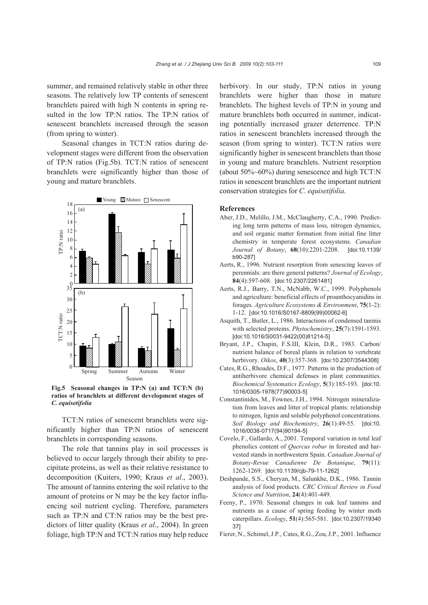summer, and remained relatively stable in other three seasons. The relatively low TP contents of senescent branchlets paired with high N contents in spring resulted in the low TP:N ratios. The TP:N ratios of senescent branchlets increased through the season (from spring to winter).

Seasonal changes in TCT:N ratios during development stages were different from the observation of TP:N ratios (Fig.5b). TCT:N ratios of senescent branchlets were significantly higher than those of young and mature branchlets.



**Fig.5 Seasonal changes in TP:N (a) and TCT:N (b) ratios of branchlets at different development stages of**  *C. equisetifolia*

TCT:N ratios of senescent branchlets were significantly higher than TP:N ratios of senescent branchlets in corresponding seasons.

The role that tannins play in soil processes is believed to occur largely through their ability to precipitate proteins, as well as their relative resistance to decomposition (Kuiters, 1990; Kraus *et al*., 2003). The amount of tannins entering the soil relative to the amount of proteins or N may be the key factor influencing soil nutrient cycling. Therefore, parameters such as TP:N and CT:N ratios may be the best predictors of litter quality (Kraus *et al*., 2004). In green foliage, high TP:N and TCT:N ratios may help reduce herbivory. In our study, TP:N ratios in young branchlets were higher than those in mature branchlets. The highest levels of TP:N in young and mature branchlets both occurred in summer, indicating potentially increased grazer deterrence. TP:N ratios in senescent branchlets increased through the season (from spring to winter). TCT:N ratios were significantly higher in senescent branchlets than those in young and mature branchlets. Nutrient resorption (about 50%~60%) during senescence and high TCT:N ratios in senescent branchlets are the important nutrient conservation strategies for *C*. *equisetifolia*.

#### **References**

- Aber, J.D., Melillo, J.M., McClaugherty, C.A., 1990. Predicting long term patterns of mass loss, nitrogen dynamics, and soil organic matter formation from initial fine litter chemistry in temperate forest ecosystems. *Canadian Journal of Botany*, **68**(10):2201-2208. [doi:10.1139/ b90-287]
- Aerts, R., 1996. Nutrient resorption from senescing leaves of perennials: are there general patterns? *Journal of Ecology*, **84**(4):597-608. [doi:10.2307/2261481]
- Aerts, R.J., Barry, T.N., McNabb, W.C., 1999. Polyphenols and agriculture: beneficial effects of proanthocyanidins in forages. *Agriculture Ecosystems & Environment*, **75**(1-2): 1-12. [doi:10.1016/S0167-8809(99)00062-6]
- Asquith, T., Butler, L., 1986. Interactions of condensed taninis with selected proteins. *Phytochemistry*, **25**(7):1591-1593. [doi:10.1016/S0031-9422(00)81214-5]
- Bryant, J.P., Chapin, F.S.III, Klein, D.R., 1983. Carbon/ nutrient balance of boreal plants in relation to vertebrate herbivory. *Oikos*, **40**(3):357-368. [doi:10.2307/3544308]
- Cates, R.G., Rhoades, D.F., 1977. Patterns in the production of antiherbivore chemical defenses in plant communities. *Biochemical Systematics Ecology*, **5**(3):185-193. [doi:10. 1016/0305-1978(77)90003-5]
- Constantinides, M., Fownes, J.H., 1994. Nitrogen mineralization from leaves and litter of tropical plants: relationship to nitrogen, lignin and soluble polyphenol concentrations. *Soil Biology and Biochemistry*, **26**(1):49-55. [doi:10. 1016/0038-0717(94)90194-5]
- Covelo, F., Gallardo, A., 2001. Temporal variation in total leaf phenolics content of *Quercus robur* in forested and harvested stands in northwestern Spain. *Canadian Journal of Botany-Revue Canadienne De Botanique*, **79**(11): 1262-1269. [doi:10.1139/cjb-79-11-1262]
- Deshpande, S.S., Cheryan, M., Salunkhe, D.K., 1986. Tannin analysis of food products. *CRC Critical Review in Food Science and Nutrition*, **24**(4):401-449.
- Feeny, P., 1970. Seasonal changes in oak leaf tannins and nutrients as a cause of spring feeding by winter moth caterpillars. *Ecology*, **51**(4):565-581. [doi:10.2307/19340 37]
- Fierer, N., Schimel,J.P., Cates, R.G., Zou,J.P., 2001. Influence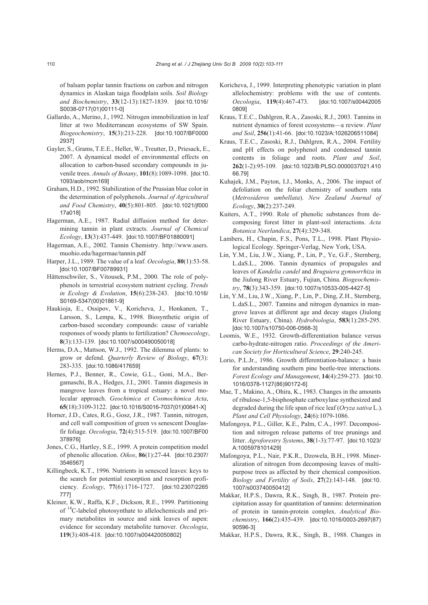of balsam poplar tannin fractions on carbon and nitrogen dynamics in Alaskan taiga floodplain soils. *Soil Biology and Biochemistry*, **33**(12-13):1827-1839. [doi:10.1016/ S0038-0717(01)00111-0]

- Gallardo, A., Merino,J., 1992. Nitrogen immobilization in leaf litter at two Mediterranean ecosystems of SW Spain. *Biogeochemistry*, **15**(3):213-228. [doi:10.1007/BF0000 2937]
- Gayler, S., Grams, T.E.E., Heller, W., Treutter, D., Priesack, E., 2007. A dynamical model of environmental effects on allocation to carbon-based secondary compounds in juvenile trees. *Annals of Botany*, **101**(8):1089-1098. [doi:10. 1093/aob/mcm169]
- Graham, H.D., 1992. Stabilization of the Prussian blue color in the determination of polyphenols. *Journal of Agricultural and Food Chemistry*, **40**(5):801-805. [doi:10.1021/jf000 17a018]
- Hagerman, A.E., 1987. Radial diffusion method for determining tannin in plant extracts. *Journal of Chemical Ecology*, **13**(3):437-449. [doi:10.1007/BF01880091]
- Hagerman, A.E., 2002. Tannin Chemistry. http://www.users. muohio.edu/hagermae/tannin.pdf
- Harper, J.L., 1989. The value of a leaf. *Oecologia*, **80**(1):53-58. [doi:10.1007/BF00789931]
- Hättenschwiler, S., Vitousek, P.M., 2000. The role of polyphenols in terrestrial ecosystem nutrient cycling. *Trends in Ecology & Evolution*, **15**(6):238-243. [doi:10.1016/ S0169-5347(00)01861-9]
- Haukioja, E., Ossipov, V., Koricheva, J., Honkanen, T., Larsson, S., Lempa, K., 1998. Biosynthetic origin of carbon-based secondary compounds: cause of variable responses of woody plants to fertilization? *Chemoecology*, **8**(3):133-139. [doi:10.1007/s000490050018]
- Herms, D.A., Mattson, W.J., 1992. The dilemma of plants: to grow or defend. *Quarterly Review of Biology*, **67**(3): 283-335. [doi:10.1086/417659]
- Hernes, P.J., Benner, R., Cowie, G.L., Goni, M.A., Bergamaschi, B.A., Hedges, J.I., 2001. Tannin diagenesis in mangrove leaves from a tropical estuary: a novel molecular approach. *Geochimica et Cosmochimica Acta*, **65**(18):3109-3122. [doi:10.1016/S0016-7037(01)00641-X]
- Horner, J.D., Cates, R.G., Gosz, J.R., 1987. Tannin, nitrogen, and cell wall composition of green vs senescent Douglasfir foliage. *Oecologia*, **72**(4):515-519. [doi:10.1007/BF00 378976]
- Jones, C.G., Hartley, S.E., 1999. A protein competition model of phenolic allocation. *Oikos*, **86**(1):27-44. [doi:10.2307/ 3546567]
- Killingbeck, K.T., 1996. Nutrients in senesced leaves: keys to the search for potential resorption and resorption proficiency. *Ecology*, **77**(6):1716-1727. [doi:10.2307/2265 777]
- Kleiner, K.W., Raffa, K.F., Dickson, R.E., 1999. Partitioning of 14C-labeled photosynthate to allelochemicals and primary metabolites in source and sink leaves of aspen: evidence for secondary metabolite turnover. *Oecologia*, **119**(3):408-418. [doi:10.1007/s004420050802]
- Koricheva, J., 1999. Interpreting phenotypic variation in plant allelochemistry: problems with the use of contents. *Oecologia*, **119**(4):467-473. [doi:10.1007/s00442005 0809]
- Kraus, T.E.C., Dahlgren, R.A., Zasoski, R.J., 2003. Tannins in nutrient dynamics of forest ecosystems—a review. *Plant and Soil*, **256**(1):41-66. [doi:10.1023/A:1026206511084]
- Kraus, T.E.C., Zasoski, R.J., Dahlgren, R.A., 2004. Fertility and pH effects on polyphenol and condensed tannin contents in foliage and roots. *Plant and Soil*, **262**(1-2):95-109. [doi:10.1023/B:PLSO.0000037021.410 66.79]
- Kuhajek, J.M., Payton, I.J., Monks, A., 2006. The impact of defoliation on the foliar chemistry of southern rata (*Metrosideros umbellata*). *New Zealand Journal of Ecology*, **30**(2):237-249.
- Kuiters, A.T., 1990. Role of phenolic substances from decomposing forest litter in plant-soil interactions. *Acta Botanica Neerlandica*, **27**(4):329-348.
- Lambers, H., Chapin, F.S., Pons, T.L., 1998. Plant Physiological Ecology. Springer-Verlag, New York, USA.
- Lin, Y.M., Liu, J.W., Xiang, P., Lin, P., Ye, G.F., Sternberg, L.daS.L., 2006. Tannin dynamics of propagules and leaves of *Kandelia candel* and *Bruguiera gymnorrhiza* in the Jiulong River Estuary, Fujian, China. *Biogeochemistry*, **78**(3):343-359. [doi:10.1007/s10533-005-4427-5]
- Lin, Y.M., Liu, J.W., Xiang, P., Lin, P., Ding, Z.H., Sternberg, L.daS.L., 2007. Tannins and nitrogen dynamics in mangrove leaves at different age and decay stages (Jiulong River Estuary, China). *Hydrobiologia*, **583**(1):285-295. [doi:10.1007/s10750-006-0568-3]
- Loomis, W.E., 1932. Growth-differentiation balance versus carbo-hydrate-nitrogen ratio. *Proceedings of the American Society for Horticultural Science*, **29**:240-245.
- Lorio, P.L.Jr., 1986. Growth differentiation-balance: a basis for understanding southern pine beetle-tree interactions. *Forest Ecology and Management*, **14**(4):259-273. [doi:10. 1016/0378-1127(86)90172-6]
- Mae, T., Makino, A., Ohira, K., 1983. Changes in the amounts of ribulose-1,5-bisphosphate carboxylase synthesized and degraded during the life span of rice leaf (*Oryza sativa* L.). *Plant and Cell Physiology*, **24**(6):1079-1086.
- Mafongoya, P.L., Giller, K.E., Palm, C.A., 1997. Decomposition and nitrogen release patterns of tree prunings and litter. *Agroforestry Systems*, **38**(1-3):77-97. [doi:10.1023/ A:1005978101429]
- Mafongoya, P.L., Nair, P.K.R., Dzowela, B.H., 1998. Mineralization of nitrogen from decomposing leaves of multipurpose trees as affected by their chemical composition. *Biology and Fertility of Soils*, **27**(2):143-148. [doi:10. 1007/s003740050412]
- Makkar, H.P.S., Dawra, R.K., Singh, B., 1987. Protein precipitation assay for quantitation of tannins: determination of protein in tannin-protein complex. *Analytical Biochemistry*, **166**(2):435-439. [doi:10.1016/0003-2697(87) 90596-3]
- Makkar, H.P.S., Dawra, R.K., Singh, B., 1988. Changes in